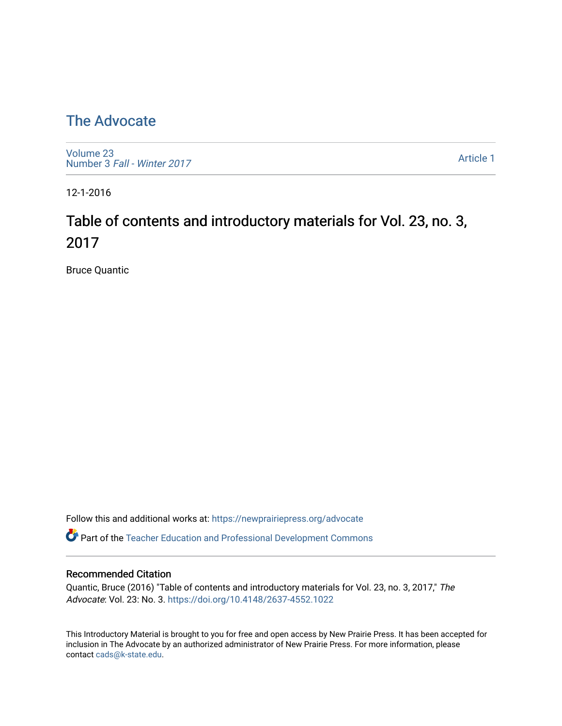## [The Advocate](https://newprairiepress.org/advocate)

[Volume 23](https://newprairiepress.org/advocate/vol23) Number 3 [Fall - Winter 2017](https://newprairiepress.org/advocate/vol23/iss3) 

[Article 1](https://newprairiepress.org/advocate/vol23/iss3/1) 

12-1-2016

# Table of contents and introductory materials for Vol. 23, no. 3, 2017

Bruce Quantic

Follow this and additional works at: [https://newprairiepress.org/advocate](https://newprairiepress.org/advocate?utm_source=newprairiepress.org%2Fadvocate%2Fvol23%2Fiss3%2F1&utm_medium=PDF&utm_campaign=PDFCoverPages) 

Part of the [Teacher Education and Professional Development Commons](http://network.bepress.com/hgg/discipline/803?utm_source=newprairiepress.org%2Fadvocate%2Fvol23%2Fiss3%2F1&utm_medium=PDF&utm_campaign=PDFCoverPages) 

#### Recommended Citation

Quantic, Bruce (2016) "Table of contents and introductory materials for Vol. 23, no. 3, 2017," The Advocate: Vol. 23: No. 3. <https://doi.org/10.4148/2637-4552.1022>

This Introductory Material is brought to you for free and open access by New Prairie Press. It has been accepted for inclusion in The Advocate by an authorized administrator of New Prairie Press. For more information, please contact [cads@k-state.edu](mailto:cads@k-state.edu).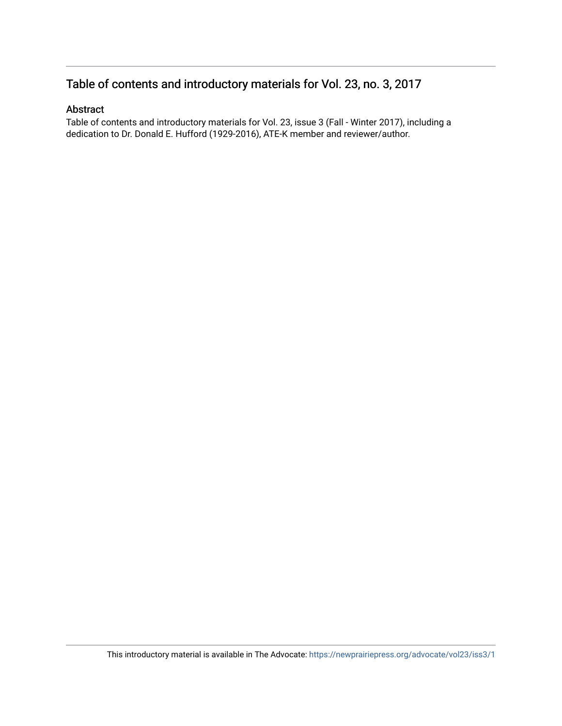#### Table of contents and introductory materials for Vol. 23, no. 3, 2017

#### Abstract

Table of contents and introductory materials for Vol. 23, issue 3 (Fall - Winter 2017), including a dedication to Dr. Donald E. Hufford (1929-2016), ATE-K member and reviewer/author.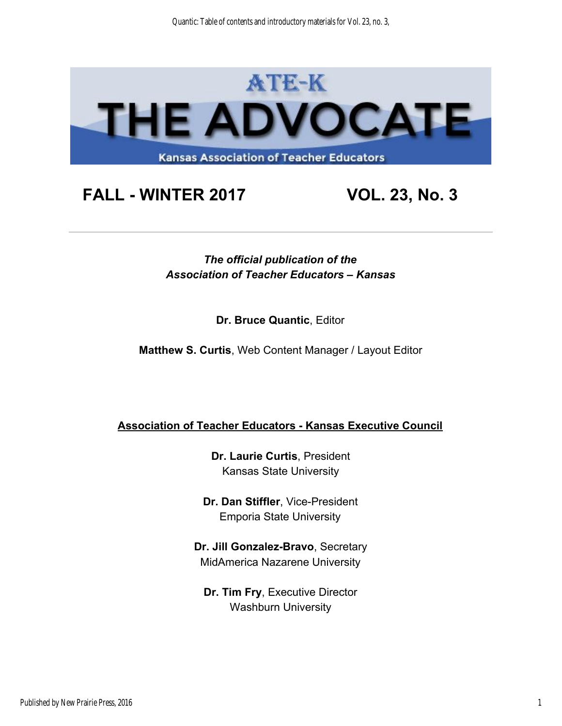

# **FALL - WINTER 2017 VOL. 23, No. 3**

*The official publication of the Association of Teacher Educators – Kansas* 

**Dr. Bruce Quantic**, Editor

**Matthew S. Curtis**, Web Content Manager / Layout Editor

#### **Association of Teacher Educators - Kansas Executive Council**

**Dr. Laurie Curtis**, President Kansas State University

**Dr. Dan Stiffler**, Vice-President Emporia State University

**Dr. Jill Gonzalez-Bravo**, Secretary MidAmerica Nazarene University

**Dr. Tim Fry**, Executive Director Washburn University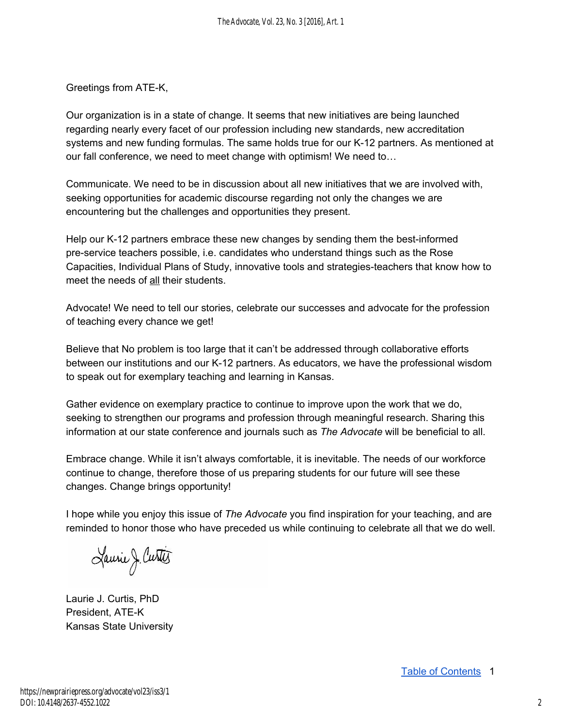Greetings from ATE-K,

Our organization is in a state of change. It seems that new initiatives are being launched regarding nearly every facet of our profession including new standards, new accreditation systems and new funding formulas. The same holds true for our K-12 partners. As mentioned at our fall conference, we need to meet change with optimism! We need to…

Communicate. We need to be in discussion about all new initiatives that we are involved with, seeking opportunities for academic discourse regarding not only the changes we are encountering but the challenges and opportunities they present.

Help our K-12 partners embrace these new changes by sending them the best-informed pre-service teachers possible, i.e. candidates who understand things such as the Rose Capacities, Individual Plans of Study, innovative tools and strategies-teachers that know how to meet the needs of all their students.

Advocate! We need to tell our stories, celebrate our successes and advocate for the profession of teaching every chance we get!

Believe that No problem is too large that it can't be addressed through collaborative efforts between our institutions and our K-12 partners. As educators, we have the professional wisdom to speak out for exemplary teaching and learning in Kansas.

Gather evidence on exemplary practice to continue to improve upon the work that we do, seeking to strengthen our programs and profession through meaningful research. Sharing this information at our state conference and journals such as *The Advocate* will be beneficial to all.

Embrace change. While it isn't always comfortable, it is inevitable. The needs of our workforce continue to change, therefore those of us preparing students for our future will see these changes. Change brings opportunity!

I hope while you enjoy this issue of *The Advocate* you find inspiration for your teaching, and are reminded to honor those who have preceded us while continuing to celebrate all that we do well.

Laurie J. Curtis

Laurie J. Curtis, PhD President, ATE-K Kansas State University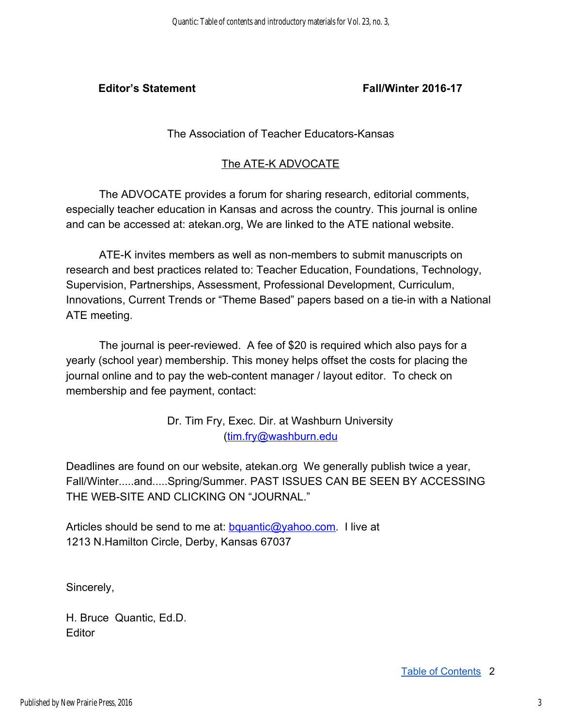#### **Editor's Statement Fall/Winter 2016-17**

#### The Association of Teacher Educators-Kansas

#### The ATE-K ADVOCATE

The ADVOCATE provides a forum for sharing research, editorial comments, especially teacher education in Kansas and across the country. This journal is online and can be accessed at: atekan.org, We are linked to the ATE national website.

ATE-K invites members as well as non-members to submit manuscripts on research and best practices related to: Teacher Education, Foundations, Technology, Supervision, Partnerships, Assessment, Professional Development, Curriculum, Innovations, Current Trends or "Theme Based" papers based on a tie-in with a National ATE meeting.

The journal is peer-reviewed. A fee of \$20 is required which also pays for a yearly (school year) membership. This money helps offset the costs for placing the journal online and to pay the web-content manager / layout editor. To check on membership and fee payment, contact:

> Dr. Tim Fry, Exec. Dir. at Washburn University ([tim.fry@washburn.edu](mailto:tim.fry@washburn.edu)

Deadlines are found on our website, atekan.org We generally publish twice a year, Fall/Winter.....and.....Spring/Summer. PAST ISSUES CAN BE SEEN BY ACCESSING THE WEB-SITE AND CLICKING ON "JOURNAL."

Articles should be send to me at: **bquantic@yahoo.com.** I live at 1213 N.Hamilton Circle, Derby, Kansas 67037

Sincerely,

H. Bruce Quantic, Ed.D. **Editor**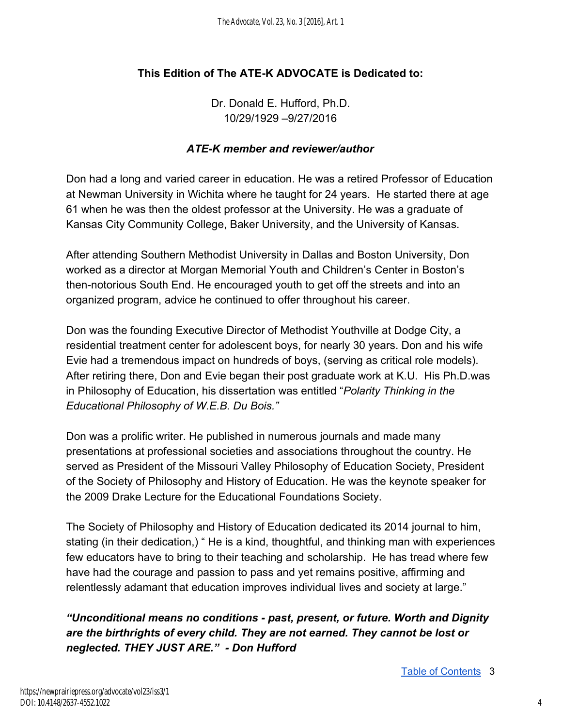#### **This Edition of The ATE-K ADVOCATE is Dedicated to:**

Dr. Donald E. Hufford, Ph.D. 10/29/1929 –9/27/2016

#### *ATE-K member and reviewer/author*

Don had a long and varied career in education. He was a retired Professor of Education at Newman University in Wichita where he taught for 24 years. He started there at age 61 when he was then the oldest professor at the University. He was a graduate of Kansas City Community College, Baker University, and the University of Kansas.

After attending Southern Methodist University in Dallas and Boston University, Don worked as a director at Morgan Memorial Youth and Children's Center in Boston's then-notorious South End. He encouraged youth to get off the streets and into an organized program, advice he continued to offer throughout his career.

Don was the founding Executive Director of Methodist Youthville at Dodge City, a residential treatment center for adolescent boys, for nearly 30 years. Don and his wife Evie had a tremendous impact on hundreds of boys, (serving as critical role models). After retiring there, Don and Evie began their post graduate work at K.U. His Ph.D.was in Philosophy of Education, his dissertation was entitled "*Polarity Thinking in the Educational Philosophy of W.E.B. Du Bois."* 

Don was a prolific writer. He published in numerous journals and made many presentations at professional societies and associations throughout the country. He served as President of the Missouri Valley Philosophy of Education Society, President of the Society of Philosophy and History of Education. He was the keynote speaker for the 2009 Drake Lecture for the Educational Foundations Society.

The Society of Philosophy and History of Education dedicated its 2014 journal to him, stating (in their dedication,) " He is a kind, thoughtful, and thinking man with experiences few educators have to bring to their teaching and scholarship. He has tread where few have had the courage and passion to pass and yet remains positive, affirming and relentlessly adamant that education improves individual lives and society at large."

*"Unconditional means no conditions - past, present, or future. Worth and Dignity are the birthrights of every child. They are not earned. They cannot be lost or neglected. THEY JUST ARE." - Don Hufford*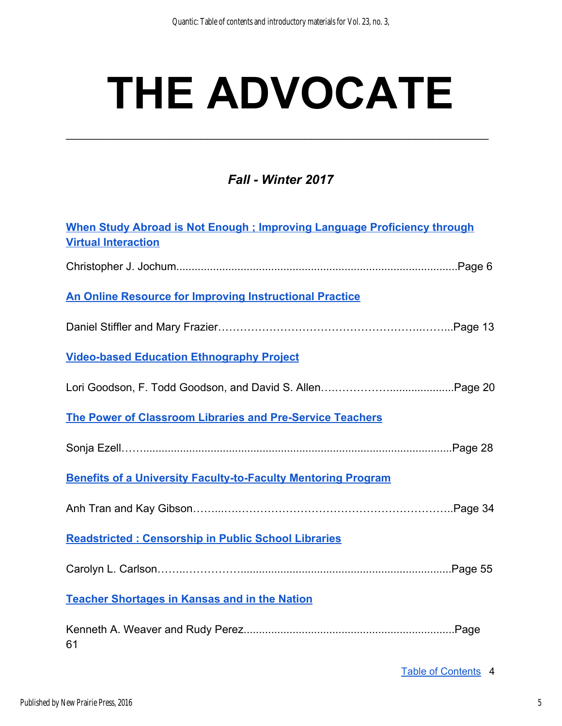# **THE ADVOCATE**

\_\_\_\_\_\_\_\_\_\_\_\_\_\_\_\_\_\_\_\_\_\_\_\_\_\_\_\_\_\_\_\_\_\_\_\_\_\_\_\_\_\_\_\_\_\_\_\_\_\_\_\_\_\_\_\_\_\_\_\_\_\_\_\_\_\_\_\_\_

### *Fall - Winter 2017*

| When Study Abroad is Not Enough ; Improving Language Proficiency through<br><b>Virtual Interaction</b> |
|--------------------------------------------------------------------------------------------------------|
|                                                                                                        |
| <b>An Online Resource for Improving Instructional Practice</b>                                         |
|                                                                                                        |
| <b>Video-based Education Ethnography Project</b>                                                       |
|                                                                                                        |
| The Power of Classroom Libraries and Pre-Service Teachers                                              |
|                                                                                                        |
| <b>Benefits of a University Faculty-to-Faculty Mentoring Program</b>                                   |
|                                                                                                        |
| Readstricted : Censorship in Public School Libraries                                                   |
|                                                                                                        |
| <b>Teacher Shortages in Kansas and in the Nation</b>                                                   |
| 61                                                                                                     |